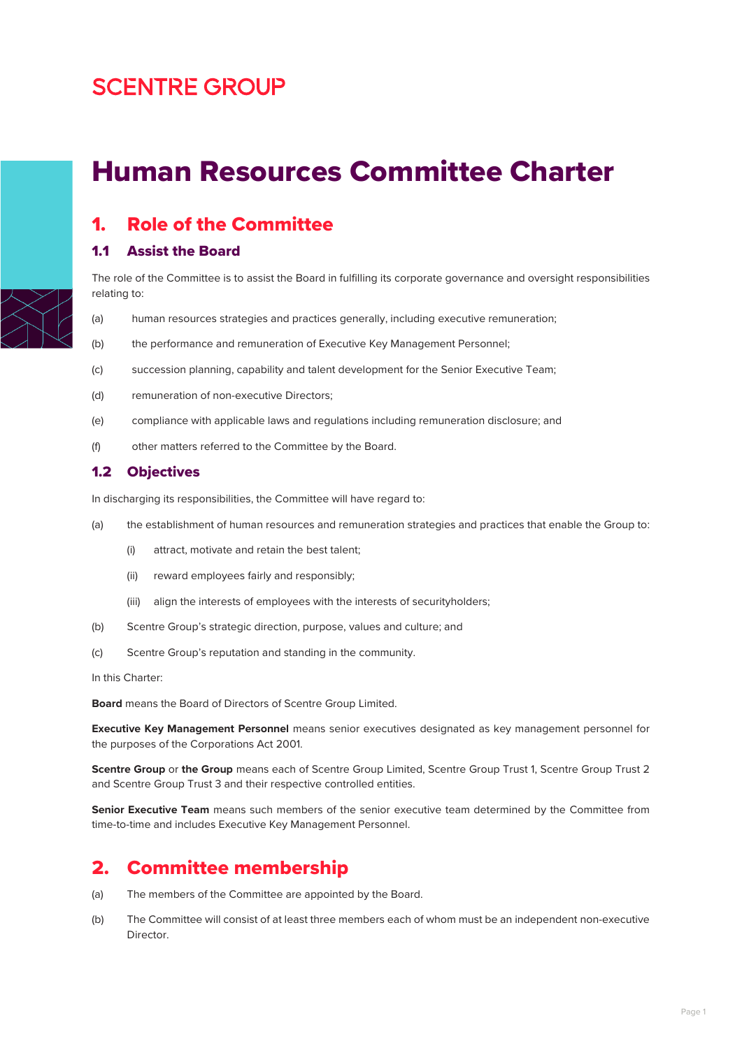# **SCENTRE GROUP**

# Human Resources Committee Charter



### 1. Role of the Committee

#### 1.1 Assist the Board

The role of the Committee is to assist the Board in fulfilling its corporate governance and oversight responsibilities relating to:

- (a) human resources strategies and practices generally, including executive remuneration;
- (b) the performance and remuneration of Executive Key Management Personnel;
- (c) succession planning, capability and talent development for the Senior Executive Team;
- (d) remuneration of non-executive Directors;
- (e) compliance with applicable laws and regulations including remuneration disclosure; and
- (f) other matters referred to the Committee by the Board.

#### 1.2 Objectives

In discharging its responsibilities, the Committee will have regard to:

- (a) the establishment of human resources and remuneration strategies and practices that enable the Group to:
	- (i) attract, motivate and retain the best talent;
	- (ii) reward employees fairly and responsibly;
	- (iii) align the interests of employees with the interests of securityholders;
- (b) Scentre Group's strategic direction, purpose, values and culture; and
- (c) Scentre Group's reputation and standing in the community.

In this Charter:

**Board** means the Board of Directors of Scentre Group Limited.

**Executive Key Management Personnel** means senior executives designated as key management personnel for the purposes of the Corporations Act 2001.

**Scentre Group** or **the Group** means each of Scentre Group Limited, Scentre Group Trust 1, Scentre Group Trust 2 and Scentre Group Trust 3 and their respective controlled entities.

**Senior Executive Team** means such members of the senior executive team determined by the Committee from time-to-time and includes Executive Key Management Personnel.

### 2. Committee membership

- (a) The members of the Committee are appointed by the Board.
- (b) The Committee will consist of at least three members each of whom must be an independent non-executive Director.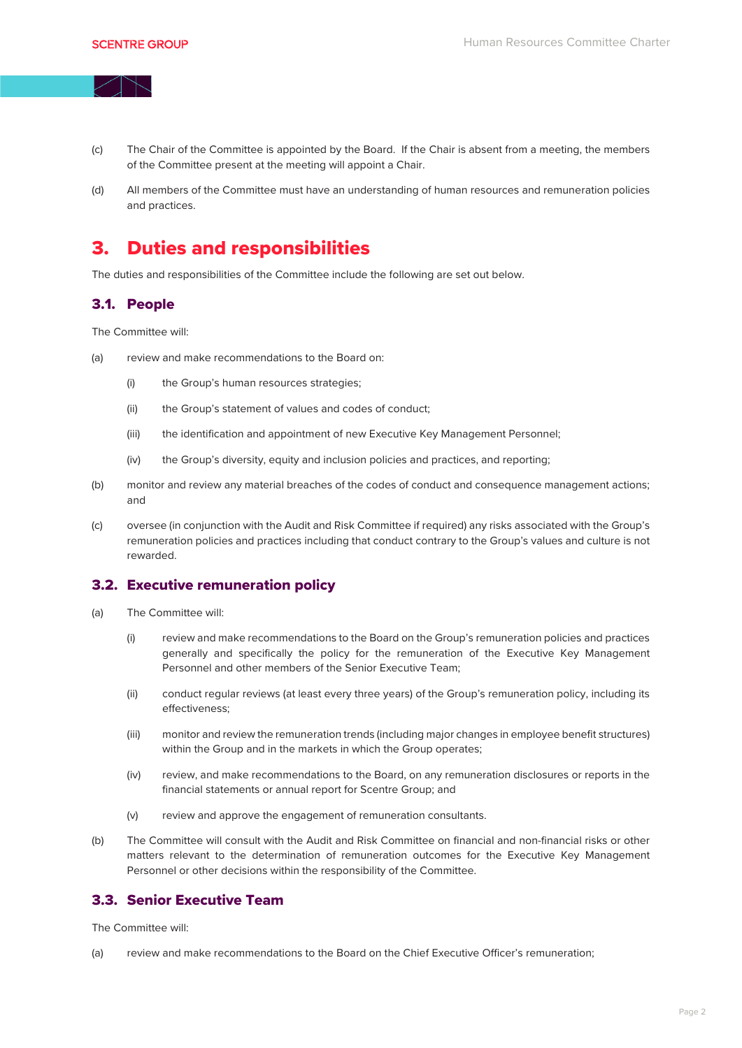- (c) The Chair of the Committee is appointed by the Board. If the Chair is absent from a meeting, the members of the Committee present at the meeting will appoint a Chair.
- (d) All members of the Committee must have an understanding of human resources and remuneration policies and practices.

## 3. Duties and responsibilities

The duties and responsibilities of the Committee include the following are set out below.

#### 3.1. People

The Committee will:

- (a) review and make recommendations to the Board on:
	- (i) the Group's human resources strategies;
	- (ii) the Group's statement of values and codes of conduct;
	- (iii) the identification and appointment of new Executive Key Management Personnel;
	- (iv) the Group's diversity, equity and inclusion policies and practices, and reporting;
- (b) monitor and review any material breaches of the codes of conduct and consequence management actions; and
- (c) oversee (in conjunction with the Audit and Risk Committee if required) any risks associated with the Group's remuneration policies and practices including that conduct contrary to the Group's values and culture is not rewarded.

#### 3.2. Executive remuneration policy

- (a) The Committee will:
	- (i) review and make recommendations to the Board on the Group's remuneration policies and practices generally and specifically the policy for the remuneration of the Executive Key Management Personnel and other members of the Senior Executive Team;
	- (ii) conduct regular reviews (at least every three years) of the Group's remuneration policy, including its effectiveness;
	- (iii) monitor and review the remuneration trends (including major changes in employee benefit structures) within the Group and in the markets in which the Group operates;
	- (iv) review, and make recommendations to the Board, on any remuneration disclosures or reports in the financial statements or annual report for Scentre Group; and
	- (v) review and approve the engagement of remuneration consultants.
- (b) The Committee will consult with the Audit and Risk Committee on financial and non-financial risks or other matters relevant to the determination of remuneration outcomes for the Executive Key Management Personnel or other decisions within the responsibility of the Committee.

### 3.3. Senior Executive Team

The Committee will:

(a) review and make recommendations to the Board on the Chief Executive Officer's remuneration;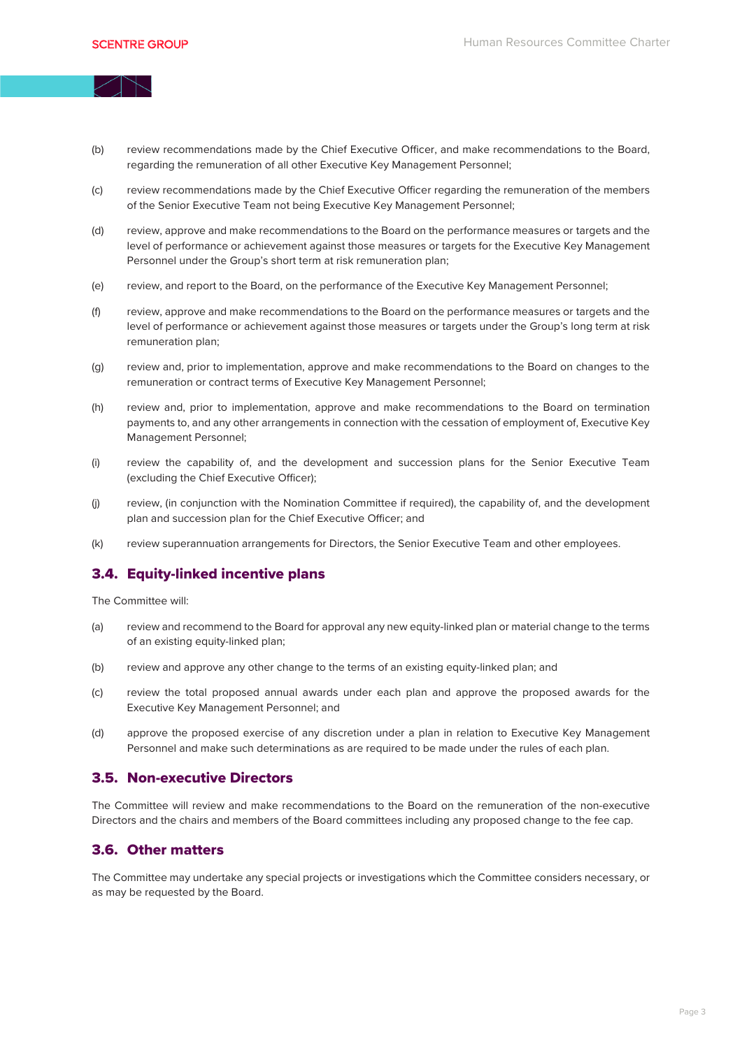(b) review recommendations made by the Chief Executive Officer, and make recommendations to the Board, regarding the remuneration of all other Executive Key Management Personnel;

- (c) review recommendations made by the Chief Executive Officer regarding the remuneration of the members of the Senior Executive Team not being Executive Key Management Personnel;
- (d) review, approve and make recommendations to the Board on the performance measures or targets and the level of performance or achievement against those measures or targets for the Executive Key Management Personnel under the Group's short term at risk remuneration plan;
- (e) review, and report to the Board, on the performance of the Executive Key Management Personnel;
- (f) review, approve and make recommendations to the Board on the performance measures or targets and the level of performance or achievement against those measures or targets under the Group's long term at risk remuneration plan;
- (g) review and, prior to implementation, approve and make recommendations to the Board on changes to the remuneration or contract terms of Executive Key Management Personnel;
- (h) review and, prior to implementation, approve and make recommendations to the Board on termination payments to, and any other arrangements in connection with the cessation of employment of, Executive Key Management Personnel;
- (i) review the capability of, and the development and succession plans for the Senior Executive Team (excluding the Chief Executive Officer);
- (j) review, (in conjunction with the Nomination Committee if required), the capability of, and the development plan and succession plan for the Chief Executive Officer; and
- (k) review superannuation arrangements for Directors, the Senior Executive Team and other employees.

#### 3.4. Equity-linked incentive plans

The Committee will:

- (a) review and recommend to the Board for approval any new equity-linked plan or material change to the terms of an existing equity-linked plan;
- (b) review and approve any other change to the terms of an existing equity-linked plan; and
- (c) review the total proposed annual awards under each plan and approve the proposed awards for the Executive Key Management Personnel; and
- (d) approve the proposed exercise of any discretion under a plan in relation to Executive Key Management Personnel and make such determinations as are required to be made under the rules of each plan.

#### 3.5. Non-executive Directors

The Committee will review and make recommendations to the Board on the remuneration of the non-executive Directors and the chairs and members of the Board committees including any proposed change to the fee cap.

#### 3.6. Other matters

The Committee may undertake any special projects or investigations which the Committee considers necessary, or as may be requested by the Board.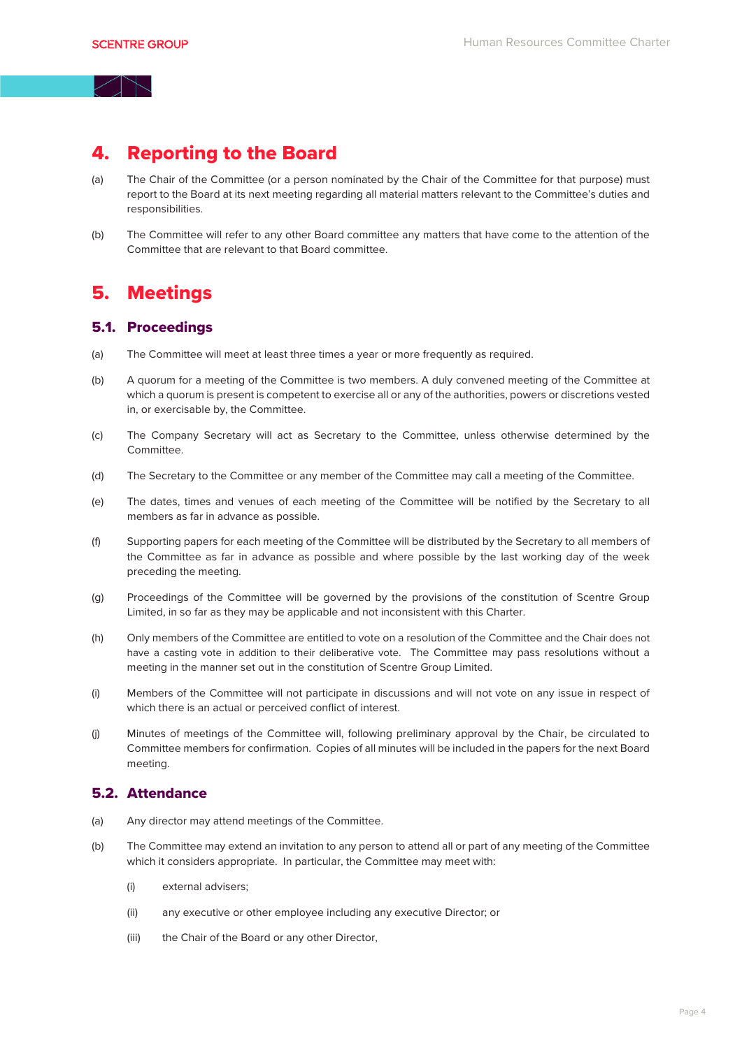### 4. Reporting to the Board

- (a) The Chair of the Committee (or a person nominated by the Chair of the Committee for that purpose) must report to the Board at its next meeting regarding all material matters relevant to the Committee's duties and responsibilities.
- (b) The Committee will refer to any other Board committee any matters that have come to the attention of the Committee that are relevant to that Board committee.

### 5. Meetings

#### 5.1. Proceedings

- (a) The Committee will meet at least three times a year or more frequently as required.
- (b) A quorum for a meeting of the Committee is two members. A duly convened meeting of the Committee at which a quorum is present is competent to exercise all or any of the authorities, powers or discretions vested in, or exercisable by, the Committee.
- (c) The Company Secretary will act as Secretary to the Committee, unless otherwise determined by the Committee.
- (d) The Secretary to the Committee or any member of the Committee may call a meeting of the Committee.
- (e) The dates, times and venues of each meeting of the Committee will be notified by the Secretary to all members as far in advance as possible.
- (f) Supporting papers for each meeting of the Committee will be distributed by the Secretary to all members of the Committee as far in advance as possible and where possible by the last working day of the week preceding the meeting.
- (g) Proceedings of the Committee will be governed by the provisions of the constitution of Scentre Group Limited, in so far as they may be applicable and not inconsistent with this Charter.
- (h) Only members of the Committee are entitled to vote on a resolution of the Committee and the Chair does not have a casting vote in addition to their deliberative vote. The Committee may pass resolutions without a meeting in the manner set out in the constitution of Scentre Group Limited.
- (i) Members of the Committee will not participate in discussions and will not vote on any issue in respect of which there is an actual or perceived conflict of interest.
- (j) Minutes of meetings of the Committee will, following preliminary approval by the Chair, be circulated to Committee members for confirmation. Copies of all minutes will be included in the papers for the next Board meeting.

#### 5.2. Attendance

- (a) Any director may attend meetings of the Committee.
- (b) The Committee may extend an invitation to any person to attend all or part of any meeting of the Committee which it considers appropriate. In particular, the Committee may meet with:
	- (i) external advisers;
	- (ii) any executive or other employee including any executive Director; or
	- (iii) the Chair of the Board or any other Director,